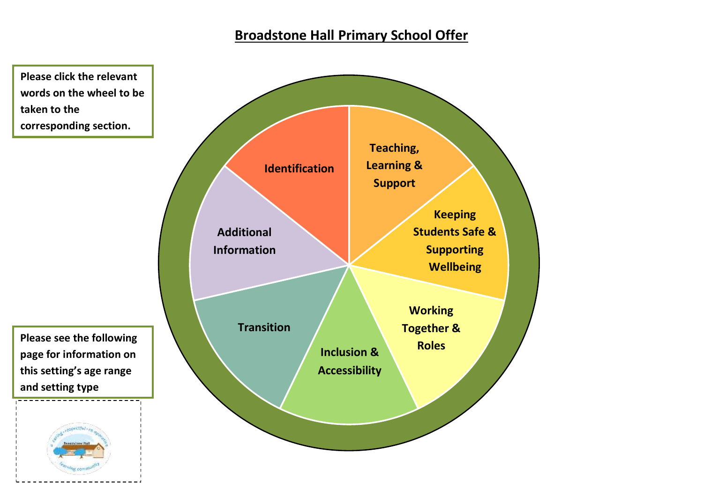# **Broadstone Hall Primary School Offer**

<span id="page-0-0"></span>**Please click the relevant words on the wheel to be taken to the corresponding section.** 

**Please see the following page for information on this setting's age range and setting type**

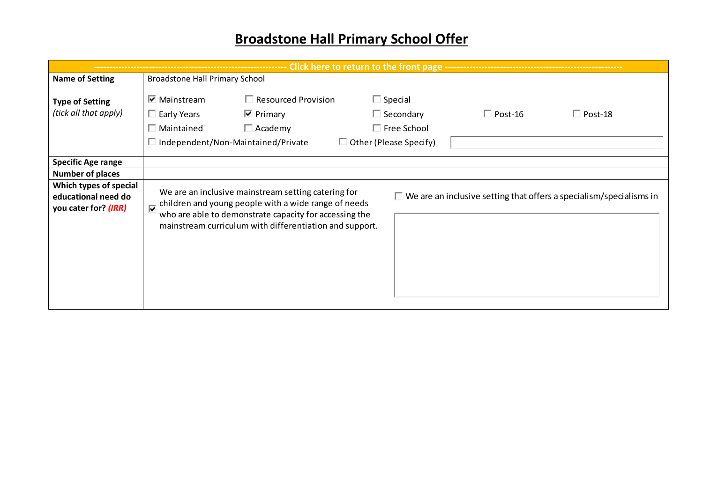# **Broadstone Hall Primary School Offer**

| Click here to return to the front page ----                           |                                                  |                                                                                                                                                                                                                                  |                                                                                           |                |                                                                            |  |  |
|-----------------------------------------------------------------------|--------------------------------------------------|----------------------------------------------------------------------------------------------------------------------------------------------------------------------------------------------------------------------------------|-------------------------------------------------------------------------------------------|----------------|----------------------------------------------------------------------------|--|--|
| <b>Name of Setting</b>                                                | <b>Broadstone Hall Primary School</b>            |                                                                                                                                                                                                                                  |                                                                                           |                |                                                                            |  |  |
| <b>Type of Setting</b><br>(tick all that apply)                       | $\nabla$ Mainstream<br>Early Years<br>Maintained | $\Box$ Resourced Provision<br>$\overline{\mathbf{v}}$ Primary<br>$\Box$ Academy<br>Independent/Non-Maintained/Private                                                                                                            | $\Box$ Special<br>$\Box$ Secondary<br>$\Box$ Free School<br>$\Box$ Other (Please Specify) | $\Box$ Post-16 | $\Box$ Post-18                                                             |  |  |
| <b>Specific Age range</b>                                             |                                                  |                                                                                                                                                                                                                                  |                                                                                           |                |                                                                            |  |  |
| <b>Number of places</b>                                               |                                                  |                                                                                                                                                                                                                                  |                                                                                           |                |                                                                            |  |  |
| Which types of special<br>educational need do<br>you cater for? (IRR) | ⊽                                                | We are an inclusive mainstream setting catering for<br>children and young people with a wide range of needs<br>who are able to demonstrate capacity for accessing the<br>mainstream curriculum with differentiation and support. |                                                                                           |                | $\Box$ We are an inclusive setting that offers a specialism/specialisms in |  |  |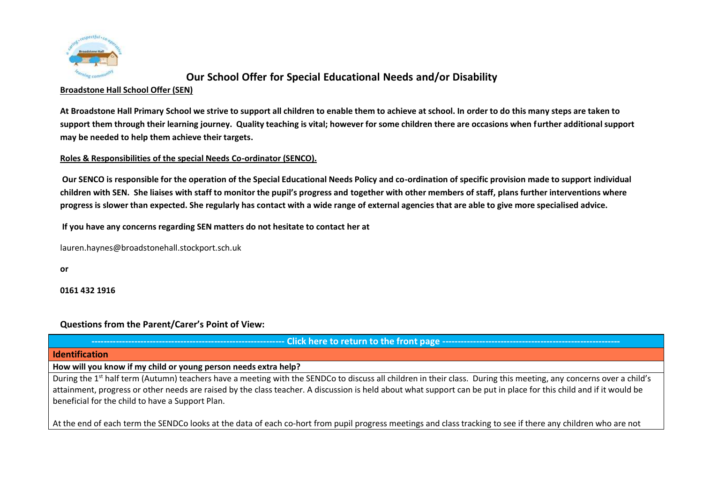

#### **Broadstone Hall School Offer (SEN)**

**At Broadstone Hall Primary School we strive to support all children to enable them to achieve at school. In order to do this many steps are taken to support them through their learning journey. Quality teaching is vital; however for some children there are occasions when further additional support may be needed to help them achieve their targets.**

### **Roles & Responsibilities of the special Needs Co-ordinator (SENCO).**

**Our SENCO is responsible for the operation of the Special Educational Needs Policy and co-ordination of specific provision made to support individual children with SEN. She liaises with staff to monitor the pupil's progress and together with other members of staff, plans further interventions where progress is slower than expected. She regularly has contact with a wide range of external agencies that are able to give more specialised advice.**

**If you have any concerns regarding SEN matters do not hesitate to contact her at**

[lauren.haynes@broadstonehall.stockport.sch.uk](mailto:lauren.haynes@broadstonehall.stockport.sch.uk)

**or**

**0161 432 1916**

### **Questions from the Parent/Carer's Point of View:**

**--------------------------------------------------------------- [Click here to return to the front page ----------------------------------------------------------](#page-0-0)**

#### <span id="page-2-0"></span>**Identification**

**How will you know if my child or young person needs extra help?** 

During the 1<sup>st</sup> half term (Autumn) teachers have a meeting with the SENDCo to discuss all children in their class. During this meeting, any concerns over a child's attainment, progress or other needs are raised by the class teacher. A discussion is held about what support can be put in place for this child and if it would be beneficial for the child to have a Support Plan.

At the end of each term the SENDCo looks at the data of each co-hort from pupil progress meetings and class tracking to see if there any children who are not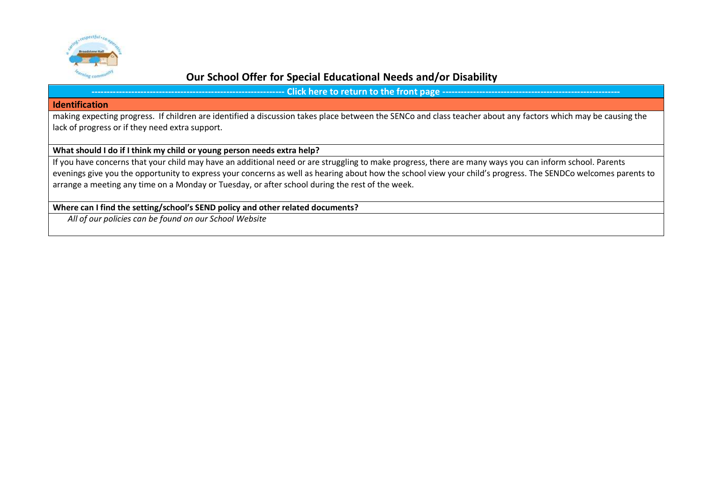

**-- Click here to return to the front page --**

#### **Identification**

making expecting progress. If children are identified a discussion takes place between the SENCo and class teacher about any factors which may be causing the lack of progress or if they need extra support.

### **What should I do if I think my child or young person needs extra help?**

If you have concerns that your child may have an additional need or are struggling to make progress, there are many ways you can inform school. Parents evenings give you the opportunity to express your concerns as well as hearing about how the school view your child's progress. The SENDCo welcomes parents to arrange a meeting any time on a Monday or Tuesday, or after school during the rest of the week.

### **Where can I find the setting/school's SEND policy and other related documents?**

*All of our policies can be found on our School Website*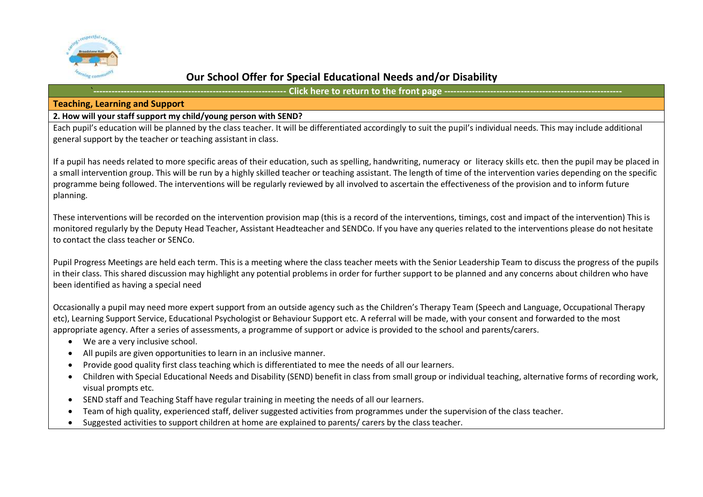

- Click here to return to the front page --------

#### <span id="page-4-0"></span>**Teaching, Learning and Support**

#### **2. How will your staff support my child/young person with SEND?**

Each pupil's education will be planned by the class teacher. It will be differentiated accordingly to suit the pupil's individual needs. This may include additional general support by the teacher or teaching assistant in class.

If a pupil has needs related to more specific areas of their education, such as spelling, handwriting, numeracy or literacy skills etc. then the pupil may be placed in a small intervention group. This will be run by a highly skilled teacher or teaching assistant. The length of time of the intervention varies depending on the specific programme being followed. The interventions will be regularly reviewed by all involved to ascertain the effectiveness of the provision and to inform future planning.

These interventions will be recorded on the intervention provision map (this is a record of the interventions, timings, cost and impact of the intervention) This is monitored regularly by the Deputy Head Teacher, Assistant Headteacher and SENDCo. If you have any queries related to the interventions please do not hesitate to contact the class teacher or SENCo.

Pupil Progress Meetings are held each term. This is a meeting where the class teacher meets with the Senior Leadership Team to discuss the progress of the pupils in their class. This shared discussion may highlight any potential problems in order for further support to be planned and any concerns about children who have been identified as having a special need

Occasionally a pupil may need more expert support from an outside agency such as the Children's Therapy Team (Speech and Language, Occupational Therapy etc), Learning Support Service, Educational Psychologist or Behaviour Support etc. A referral will be made, with your consent and forwarded to the most appropriate agency. After a series of assessments, a programme of support or advice is provided to the school and parents/carers.

- We are a very inclusive school.
- All pupils are given opportunities to learn in an inclusive manner.
- Provide good quality first class teaching which is differentiated to mee the needs of all our learners.
- Children with Special Educational Needs and Disability (SEND) benefit in class from small group or individual teaching, alternative forms of recording work, visual prompts etc.
- SEND staff and Teaching Staff have regular training in meeting the needs of all our learners.
- Team of high quality, experienced staff, deliver suggested activities from programmes under the supervision of the class teacher.
- Suggested activities to support children at home are explained to parents/ carers by the class teacher.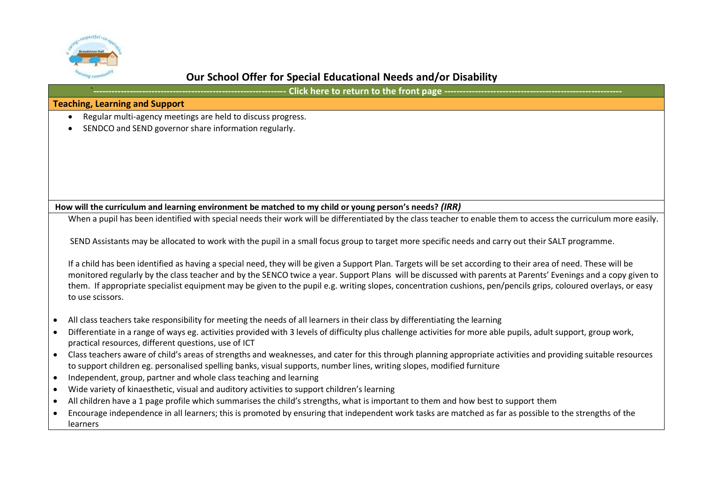

| <b>Teaching, Learning and Support</b>                                                                                                                                                                                                                                                                 |
|-------------------------------------------------------------------------------------------------------------------------------------------------------------------------------------------------------------------------------------------------------------------------------------------------------|
| Regular multi-agency meetings are held to discuss progress.                                                                                                                                                                                                                                           |
| SENDCO and SEND governor share information regularly.                                                                                                                                                                                                                                                 |
|                                                                                                                                                                                                                                                                                                       |
|                                                                                                                                                                                                                                                                                                       |
|                                                                                                                                                                                                                                                                                                       |
|                                                                                                                                                                                                                                                                                                       |
|                                                                                                                                                                                                                                                                                                       |
| How will the curriculum and learning environment be matched to my child or young person's needs? (IRR)                                                                                                                                                                                                |
| When a pupil has been identified with special needs their work will be differentiated by the class teacher to enable them to access the curriculum more easily.                                                                                                                                       |
| SEND Assistants may be allocated to work with the pupil in a small focus group to target more specific needs and carry out their SALT programme.                                                                                                                                                      |
| If a child has been identified as having a special need, they will be given a Support Plan. Targets will be set according to their area of need. These will be                                                                                                                                        |
| monitored regularly by the class teacher and by the SENCO twice a year. Support Plans will be discussed with parents at Parents' Evenings and a copy given to                                                                                                                                         |
| them. If appropriate specialist equipment may be given to the pupil e.g. writing slopes, concentration cushions, pen/pencils grips, coloured overlays, or easy<br>to use scissors.                                                                                                                    |
| All class teachers take responsibility for meeting the needs of all learners in their class by differentiating the learning<br>$\bullet$                                                                                                                                                              |
| Differentiate in a range of ways eg. activities provided with 3 levels of difficulty plus challenge activities for more able pupils, adult support, group work,<br>$\bullet$<br>practical resources, different questions, use of ICT                                                                  |
| Class teachers aware of child's areas of strengths and weaknesses, and cater for this through planning appropriate activities and providing suitable resources<br>$\bullet$<br>to support children eg. personalised spelling banks, visual supports, number lines, writing slopes, modified furniture |
| Independent, group, partner and whole class teaching and learning<br>$\bullet$                                                                                                                                                                                                                        |
| Wide variety of kinaesthetic, visual and auditory activities to support children's learning<br>$\bullet$                                                                                                                                                                                              |

- All children have a 1 page profile which summarises the child's strengths, what is important to them and how best to support them
- Encourage independence in all learners; this is promoted by ensuring that independent work tasks are matched as far as possible to the strengths of the learners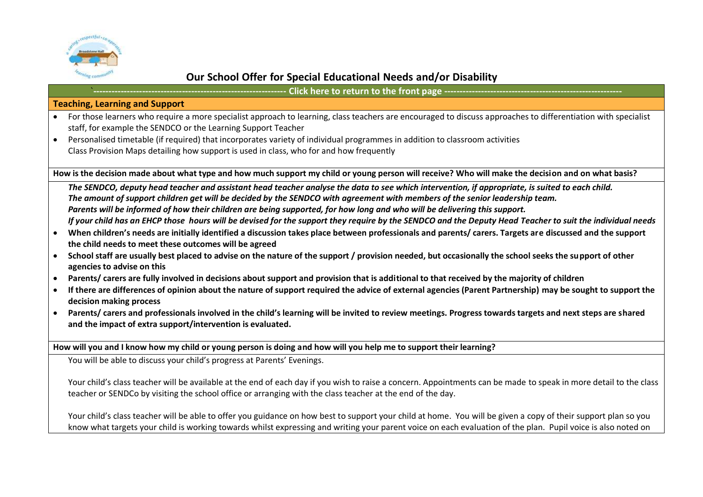

- Click here to return to the front page --

### **Teaching, Learning and Support**

- For those learners who require a more specialist approach to learning, class teachers are encouraged to discuss approaches to differentiation with specialist staff, for example the SENDCO or the Learning Support Teacher
- Personalised timetable (if required) that incorporates variety of individual programmes in addition to classroom activities Class Provision Maps detailing how support is used in class, who for and how frequently

**How is the decision made about what type and how much support my child or young person will receive? Who will make the decision and on what basis?**

*The SENDCO, deputy head teacher and assistant head teacher analyse the data to see which intervention, if appropriate, is suited to each child. The amount of support children get will be decided by the SENDCO with agreement with members of the senior leadership team. Parents will be informed of how their children are being supported, for how long and who will be delivering this support. If your child has an EHCP those hours will be devised for the support they require by the SENDCO and the Deputy Head Teacher to suit the individual needs*

- **When children's needs are initially identified a discussion takes place between professionals and parents/ carers. Targets are discussed and the support the child needs to meet these outcomes will be agreed**
- **School staff are usually best placed to advise on the nature of the support / provision needed, but occasionally the school seeks the support of other agencies to advise on this**
- **Parents/ carers are fully involved in decisions about support and provision that is additional to that received by the majority of children**
- **If there are differences of opinion about the nature of support required the advice of external agencies (Parent Partnership) may be sought to support the decision making process**
- **Parents/ carers and professionals involved in the child's learning will be invited to review meetings. Progress towards targets and next steps are shared and the impact of extra support/intervention is evaluated.**

**How will you and I know how my child or young person is doing and how will you help me to support their learning?** 

You will be able to discuss your child's progress at Parents' Evenings.

Your child's class teacher will be available at the end of each day if you wish to raise a concern. Appointments can be made to speak in more detail to the class teacher or SENDCo by visiting the school office or arranging with the class teacher at the end of the day.

Your child's class teacher will be able to offer you guidance on how best to support your child at home. You will be given a copy of their support plan so you know what targets your child is working towards whilst expressing and writing your parent voice on each evaluation of the plan. Pupil voice is also noted on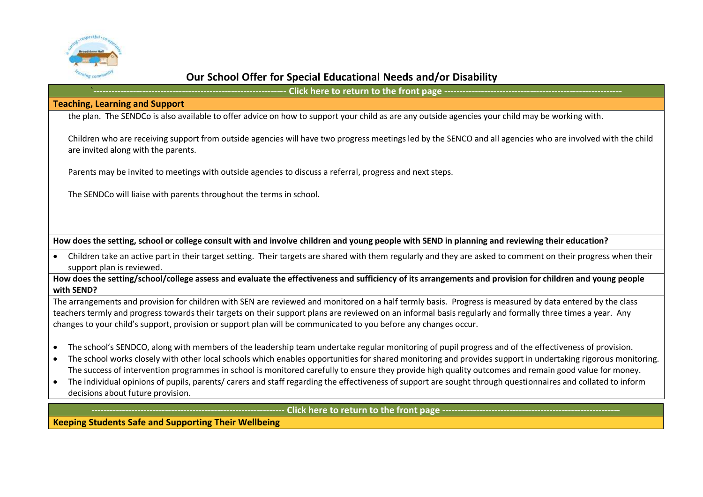

**-- Click here to return to the front page ---**

### **Teaching, Learning and Support**

the plan. The SENDCo is also available to offer advice on how to support your child as are any outside agencies your child may be working with.

Children who are receiving support from outside agencies will have two progress meetings led by the SENCO and all agencies who are involved with the child are invited along with the parents.

Parents may be invited to meetings with outside agencies to discuss a referral, progress and next steps.

The SENDCo will liaise with parents throughout the terms in school.

**How does the setting, school or college consult with and involve children and young people with SEND in planning and reviewing their education?**

 Children take an active part in their target setting. Their targets are shared with them regularly and they are asked to comment on their progress when their support plan is reviewed.

**How does the setting/school/college assess and evaluate the effectiveness and sufficiency of its arrangements and provision for children and young people with SEND?**

The arrangements and provision for children with SEN are reviewed and monitored on a half termly basis. Progress is measured by data entered by the class teachers termly and progress towards their targets on their support plans are reviewed on an informal basis regularly and formally three times a year. Any changes to your child's support, provision or support plan will be communicated to you before any changes occur.

- The school's SENDCO, along with members of the leadership team undertake regular monitoring of pupil progress and of the effectiveness of provision.
- The school works closely with other local schools which enables opportunities for shared monitoring and provides support in undertaking rigorous monitoring. The success of intervention programmes in school is monitored carefully to ensure they provide high quality outcomes and remain good value for money.
- The individual opinions of pupils, parents/ carers and staff regarding the effectiveness of support are sought through questionnaires and collated to inform decisions about future provision.

**--------------------------------------------------------------- [Click here to return to the front page ----------------------------------------------------------](#page-0-0)**

<span id="page-7-0"></span>**Keeping Students Safe and Supporting Their Wellbeing**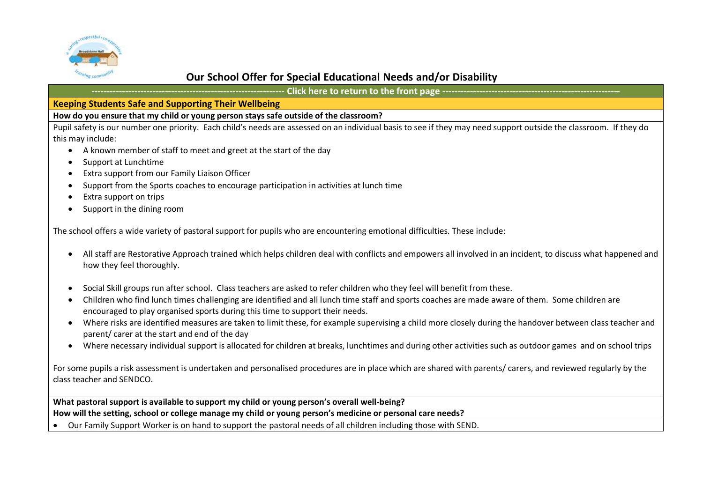

**--------------------------------------------------------------- [Click here to return to the front page ----------------------------------------------------------](#page-0-0)**

#### **Keeping Students Safe and Supporting Their Wellbeing**

### **How do you ensure that my child or young person stays safe outside of the classroom?**

Pupil safety is our number one priority. Each child's needs are assessed on an individual basis to see if they may need support outside the classroom. If they do this may include:

- A known member of staff to meet and greet at the start of the day
- Support at Lunchtime
- Extra support from our Family Liaison Officer
- Support from the Sports coaches to encourage participation in activities at lunch time
- Extra support on trips
- Support in the dining room

The school offers a wide variety of pastoral support for pupils who are encountering emotional difficulties. These include:

- All staff are Restorative Approach trained which helps children deal with conflicts and empowers all involved in an incident, to discuss what happened and how they feel thoroughly.
- Social Skill groups run after school. Class teachers are asked to refer children who they feel will benefit from these.
- Children who find lunch times challenging are identified and all lunch time staff and sports coaches are made aware of them. Some children are encouraged to play organised sports during this time to support their needs.
- Where risks are identified measures are taken to limit these, for example supervising a child more closely during the handover between class teacher and parent/ carer at the start and end of the day
- Where necessary individual support is allocated for children at breaks, lunchtimes and during other activities such as outdoor games and on school trips

For some pupils a risk assessment is undertaken and personalised procedures are in place which are shared with parents/ carers, and reviewed regularly by the class teacher and SENDCO.

**What pastoral support is available to support my child or young person's overall well-being? How will the setting, school or college manage my child or young person's medicine or personal care needs?**

Our Family Support Worker is on hand to support the pastoral needs of all children including those with SEND.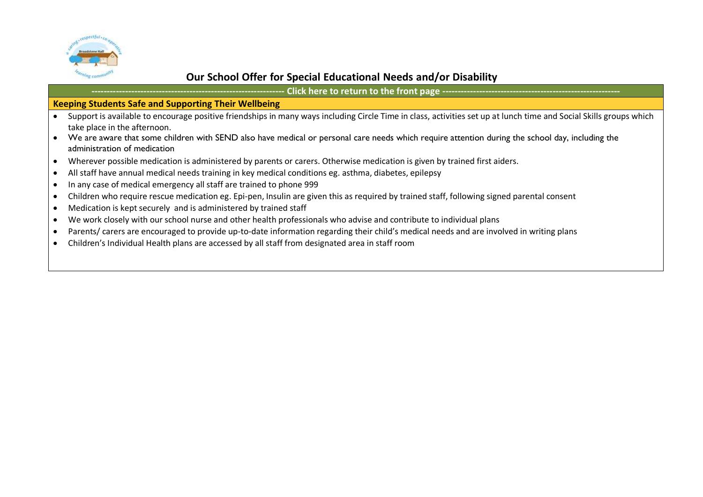

**--------------------------------------------------------------- [Click here to return to the front page ----------------------------------------------------------](#page-0-0)**

### **Keeping Students Safe and Supporting Their Wellbeing**

- Support is available to encourage positive friendships in many ways including Circle Time in class, activities set up at lunch time and Social Skills groups which take place in the afternoon.
- We are aware that some children with SEND also have medical or personal care needs which require attention during the school day, including the administration of medication
- Wherever possible medication is administered by parents or carers. Otherwise medication is given by trained first aiders.
- All staff have annual medical needs training in key medical conditions eg. asthma, diabetes, epilepsy
- In any case of medical emergency all staff are trained to phone 999
- Children who require rescue medication eg. Epi-pen, Insulin are given this as required by trained staff, following signed parental consent
- Medication is kept securely and is administered by trained staff
- We work closely with our school nurse and other health professionals who advise and contribute to individual plans
- Parents/ carers are encouraged to provide up-to-date information regarding their child's medical needs and are involved in writing plans
- Children's Individual Health plans are accessed by all staff from designated area in staff room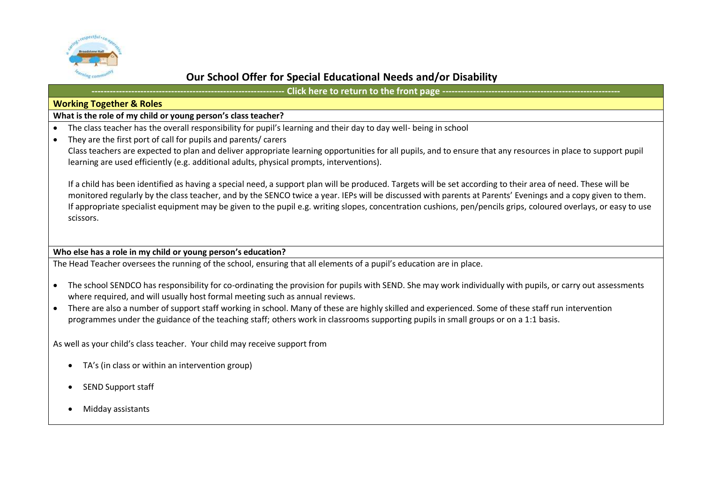

**- Click here to return to the front page --**

#### <span id="page-10-0"></span>**Working Together & Roles**

#### **What is the role of my child or young person's class teacher?**

- The class teacher has the overall responsibility for pupil's learning and their day to day well- being in school
- They are the first port of call for pupils and parents/ carers

Class teachers are expected to plan and deliver appropriate learning opportunities for all pupils, and to ensure that any resources in place to support pupil learning are used efficiently (e.g. additional adults, physical prompts, interventions).

If a child has been identified as having a special need, a support plan will be produced. Targets will be set according to their area of need. These will be monitored regularly by the class teacher, and by the SENCO twice a year. IEPs will be discussed with parents at Parents' Evenings and a copy given to them. If appropriate specialist equipment may be given to the pupil e.g. writing slopes, concentration cushions, pen/pencils grips, coloured overlays, or easy to use scissors.

#### **Who else has a role in my child or young person's education?**

The Head Teacher oversees the running of the school, ensuring that all elements of a pupil's education are in place.

- The school SENDCO has responsibility for co-ordinating the provision for pupils with SEND. She may work individually with pupils, or carry out assessments where required, and will usually host formal meeting such as annual reviews.
- There are also a number of support staff working in school. Many of these are highly skilled and experienced. Some of these staff run intervention programmes under the guidance of the teaching staff; others work in classrooms supporting pupils in small groups or on a 1:1 basis.

As well as your child's class teacher. Your child may receive support from

- TA's (in class or within an intervention group)
- SEND Support staff
- Midday assistants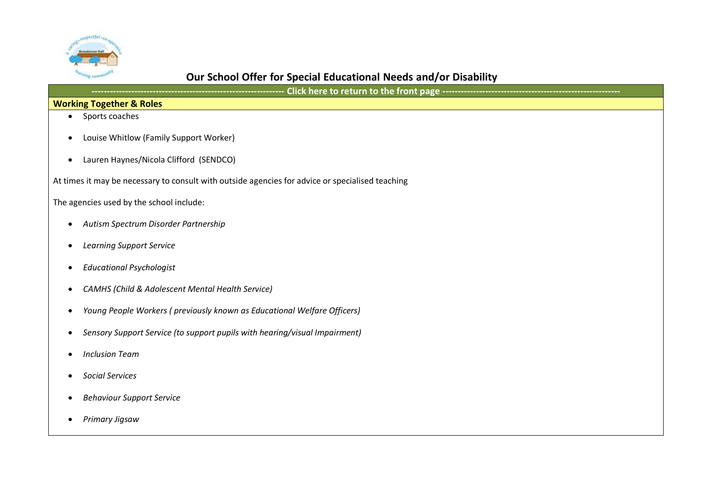

**--------------------------------------------------------------- [Click here to return to the front page ----------------------------------------------------------](#page-0-0)**

### **Working Together & Roles**

- Sports coaches
- Louise Whitlow (Family Support Worker)
- Lauren Haynes/Nicola Clifford (SENDCO)

At times it may be necessary to consult with outside agencies for advice or specialised teaching

The agencies used by the school include:

- *Autism Spectrum Disorder Partnership*
- *Learning Support Service*
- *Educational Psychologist*
- *CAMHS (Child & Adolescent Mental Health Service)*
- *Young People Workers ( previously known as Educational Welfare Officers)*
- *Sensory Support Service (to support pupils with hearing/visual Impairment)*
- *Inclusion Team*
- *Social Services*
- *Behaviour Support Service*
- *Primary Jigsaw*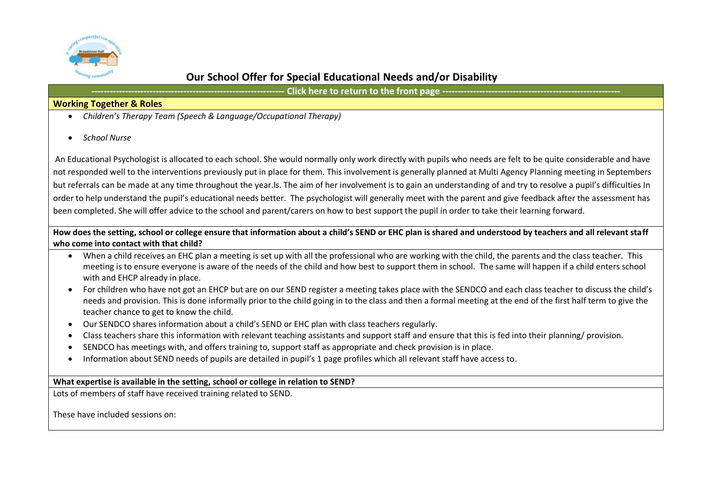

**- Click here to return to the front page --**

### **Working Together & Roles**

- *Children's Therapy Team (Speech & Language/Occupational Therapy)*
- *School Nurse*

An Educational Psychologist is allocated to each school. She would normally only work directly with pupils who needs are felt to be quite considerable and have not responded well to the interventions previously put in place for them. This involvement is generally planned at Multi Agency Planning meeting in Septembers but referrals can be made at any time throughout the year.ls. The aim of her involvement is to gain an understanding of and try to resolve a pupil's difficulties In order to help understand the pupil's educational needs better. The psychologist will generally meet with the parent and give feedback after the assessment has been completed. She will offer advice to the school and parent/carers on how to best support the pupil in order to take their learning forward.

### **How does the setting, school or college ensure that information about a child's SEND or EHC plan is shared and understood by teachers and all relevant staff who come into contact with that child?**

- When a child receives an EHC plan a meeting is set up with all the professional who are working with the child, the parents and the class teacher. This meeting is to ensure everyone is aware of the needs of the child and how best to support them in school. The same will happen if a child enters school with and EHCP already in place.
- For children who have not got an EHCP but are on our SEND register a meeting takes place with the SENDCO and each class teacher to discuss the child's needs and provision. This is done informally prior to the child going in to the class and then a formal meeting at the end of the first half term to give the teacher chance to get to know the child.
- Our SENDCO shares information about a child's SEND or EHC plan with class teachers regularly.
- Class teachers share this information with relevant teaching assistants and support staff and ensure that this is fed into their planning/ provision.
- SENDCO has meetings with, and offers training to, support staff as appropriate and check provision is in place.
- Information about SEND needs of pupils are detailed in pupil's 1 page profiles which all relevant staff have access to.

### **What expertise is available in the setting, school or college in relation to SEND?**

Lots of members of staff have received training related to SEND.

These have included sessions on: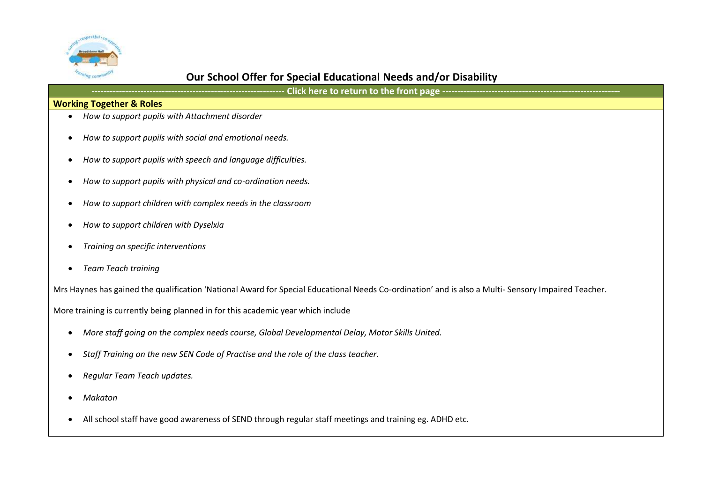

|--|--|--|

### **Working Together & Roles**

- *How to support pupils with Attachment disorder*
- *How to support pupils with social and emotional needs.*
- *How to support pupils with speech and language difficulties.*
- *How to support pupils with physical and co-ordination needs.*
- *How to support children with complex needs in the classroom*
- *How to support children with Dyselxia*
- *Training on specific interventions*
- *Team Teach training*

Mrs Haynes has gained the qualification 'National Award for Special Educational Needs Co-ordination' and is also a Multi- Sensory Impaired Teacher.

More training is currently being planned in for this academic year which include

- *More staff going on the complex needs course, Global Developmental Delay, Motor Skills United.*
- *Staff Training on the new SEN Code of Practise and the role of the class teacher.*
- *Regular Team Teach updates.*
- *Makaton*
- All school staff have good awareness of SEND through regular staff meetings and training eg. ADHD etc.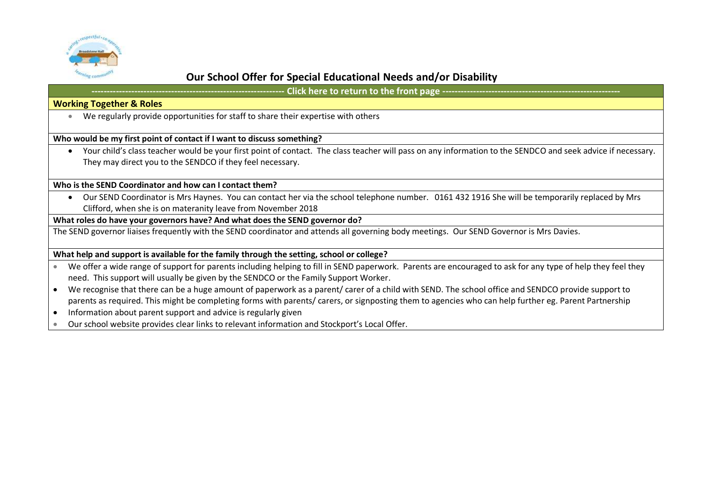

**- Click here to return to the front page --**

### **Working Together & Roles**

We regularly provide opportunities for staff to share their expertise with others

#### **Who would be my first point of contact if I want to discuss something?**

 Your child's class teacher would be your first point of contact. The class teacher will pass on any information to the SENDCO and seek advice if necessary. They may direct you to the SENDCO if they feel necessary.

#### **Who is the SEND Coordinator and how can I contact them?**

 Our SEND Coordinator is Mrs Haynes. You can contact her via the school telephone number. 0161 432 1916 She will be temporarily replaced by Mrs Clifford, when she is on materanity leave from November 2018

#### **What roles do have your governors have? And what does the SEND governor do?**

The SEND governor liaises frequently with the SEND coordinator and attends all governing body meetings. Our SEND Governor is Mrs Davies.

#### **What help and support is available for the family through the setting, school or college?**

- We offer a wide range of support for parents including helping to fill in SEND paperwork. Parents are encouraged to ask for any type of help they feel they need. This support will usually be given by the SENDCO or the Family Support Worker.
- We recognise that there can be a huge amount of paperwork as a parent/ carer of a child with SEND. The school office and SENDCO provide support to parents as required. This might be completing forms with parents/ carers, or signposting them to agencies who can help further eg. Parent Partnership
- Information about parent support and advice is regularly given
- Our school website provides clear links to relevant information and Stockport's Local Offer.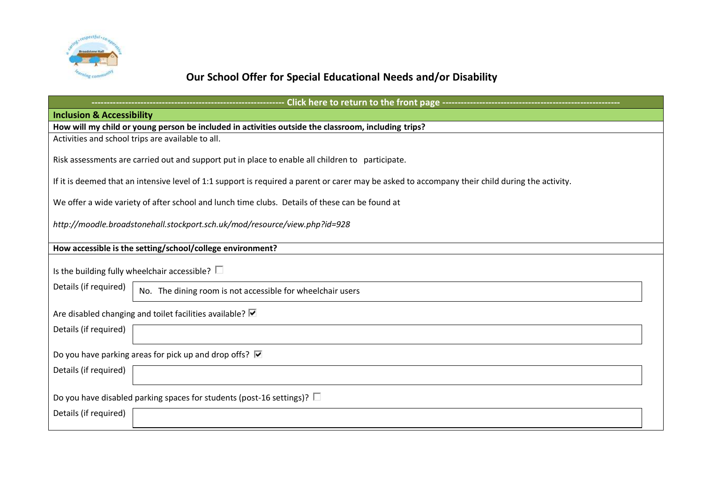

<span id="page-15-0"></span>

| --------------- Click here to return to the front page --------------                                                                           |  |  |  |  |  |  |
|-------------------------------------------------------------------------------------------------------------------------------------------------|--|--|--|--|--|--|
| <b>Inclusion &amp; Accessibility</b>                                                                                                            |  |  |  |  |  |  |
| How will my child or young person be included in activities outside the classroom, including trips?                                             |  |  |  |  |  |  |
| Activities and school trips are available to all.                                                                                               |  |  |  |  |  |  |
| Risk assessments are carried out and support put in place to enable all children to participate.                                                |  |  |  |  |  |  |
| If it is deemed that an intensive level of 1:1 support is required a parent or carer may be asked to accompany their child during the activity. |  |  |  |  |  |  |
| We offer a wide variety of after school and lunch time clubs. Details of these can be found at                                                  |  |  |  |  |  |  |
| http://moodle.broadstonehall.stockport.sch.uk/mod/resource/view.php?id=928                                                                      |  |  |  |  |  |  |
| How accessible is the setting/school/college environment?                                                                                       |  |  |  |  |  |  |
| Is the building fully wheelchair accessible? $\Box$                                                                                             |  |  |  |  |  |  |
| Details (if required)<br>No. The dining room is not accessible for wheelchair users                                                             |  |  |  |  |  |  |
| Are disabled changing and toilet facilities available? Ø                                                                                        |  |  |  |  |  |  |
| Details (if required)                                                                                                                           |  |  |  |  |  |  |
| Do you have parking areas for pick up and drop offs? <b>■</b>                                                                                   |  |  |  |  |  |  |
| Details (if required)                                                                                                                           |  |  |  |  |  |  |
| Do you have disabled parking spaces for students (post-16 settings)? $\square$                                                                  |  |  |  |  |  |  |
| Details (if required)                                                                                                                           |  |  |  |  |  |  |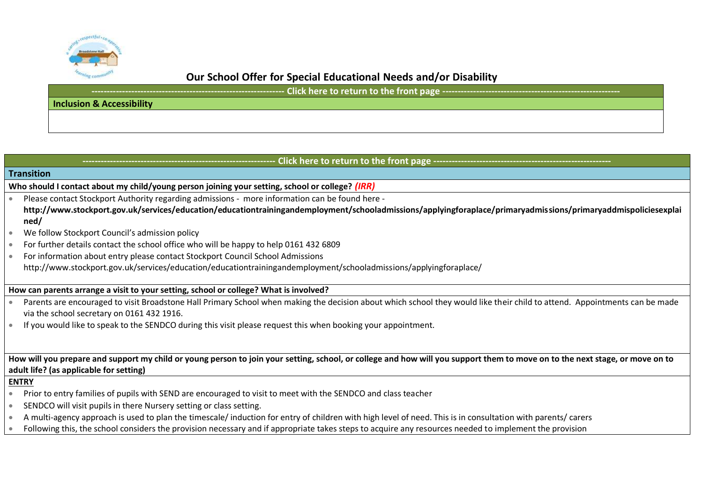

**- Click here to return to the front page ----**

### **Inclusion & Accessibility**

## <span id="page-16-0"></span>**Click here to return to the front page -Transition Who should I contact about my child/young person joining your setting, school or college?** *(IRR)* Please contact Stockport Authority regarding admissions - more information can be found here **[http://www.stockport.gov.uk/services/education/educationtrainingandemployment/schooladmissions/applyingforaplace/primaryadmissions/primaryaddmispoliciesexplai](http://www.stockport.gov.uk/services/education/educationtrainingandemployment/schooladmissions/applyingforaplace/primaryadmissions/primaryaddmispoliciesexplained/) [ned/](http://www.stockport.gov.uk/services/education/educationtrainingandemployment/schooladmissions/applyingforaplace/primaryadmissions/primaryaddmispoliciesexplained/)** We follow Stockport Council's admission policy For further details contact the school office who will be happy to help 0161 432 6809 For information about entry please contact Stockport Council School Admissions http://www.stockport.gov.uk/services/education/educationtrainingandemployment/schooladmissions/applyingforaplace/ **How can parents arrange a visit to your setting, school or college? What is involved?** Parents are encouraged to visit Broadstone Hall Primary School when making the decision about which school they would like their child to attend. Appointments can be made via the school secretary on 0161 432 1916. If you would like to speak to the SENDCO during this visit please request this when booking your appointment. **How will you prepare and support my child or young person to join your setting, school, or college and how will you support them to move on to the next stage, or move on to adult life? (as applicable for setting) ENTRY**  Prior to entry families of pupils with SEND are encouraged to visit to meet with the SENDCO and class teacher SENDCO will visit pupils in there Nursery setting or class setting. A multi-agency approach is used to plan the timescale/ induction for entry of children with high level of need. This is in consultation with parents/ carers Following this, the school considers the provision necessary and if appropriate takes steps to acquire any resources needed to implement the provision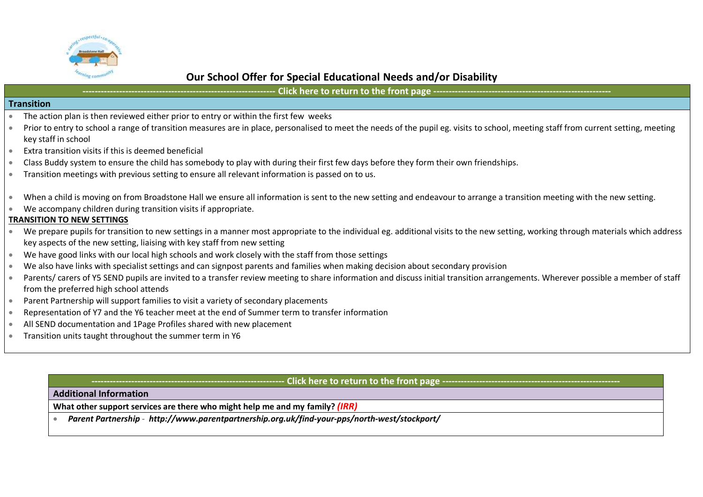

## Click here to return to the front page ---**Transition**  The action plan is then reviewed either prior to entry or within the first few weeks Prior to entry to school a range of transition measures are in place, personalised to meet the needs of the pupil eg. visits to school, meeting staff from current setting, meeting key staff in school Extra transition visits if this is deemed beneficial Class Buddy system to ensure the child has somebody to play with during their first few days before they form their own friendships. Transition meetings with previous setting to ensure all relevant information is passed on to us. When a child is moving on from Broadstone Hall we ensure all information is sent to the new setting and endeavour to arrange a transition meeting with the new setting. We accompany children during transition visits if appropriate. **TRANSITION TO NEW SETTINGS**

- We prepare pupils for transition to new settings in a manner most appropriate to the individual eg. additional visits to the new setting, working through materials which address key aspects of the new setting, liaising with key staff from new setting
- We have good links with our local high schools and work closely with the staff from those settings
- We also have links with specialist settings and can signpost parents and families when making decision about secondary provision
- Parents/ carers of Y5 SEND pupils are invited to a transfer review meeting to share information and discuss initial transition arrangements. Wherever possible a member of staff from the preferred high school attends
- Parent Partnership will support families to visit a variety of secondary placements
- Representation of Y7 and the Y6 teacher meet at the end of Summer term to transfer information
- All SEND documentation and 1Page Profiles shared with new placement
- Transition units taught throughout the summer term in Y6

### **Click here to return to the front page --**

### <span id="page-17-0"></span>**Additional Information**

**What other support services are there who might help me and my family?** *(IRR)*

*Parent Partnership - <http://www.parentpartnership.org.uk/find-your-pps/north-west/stockport/>*